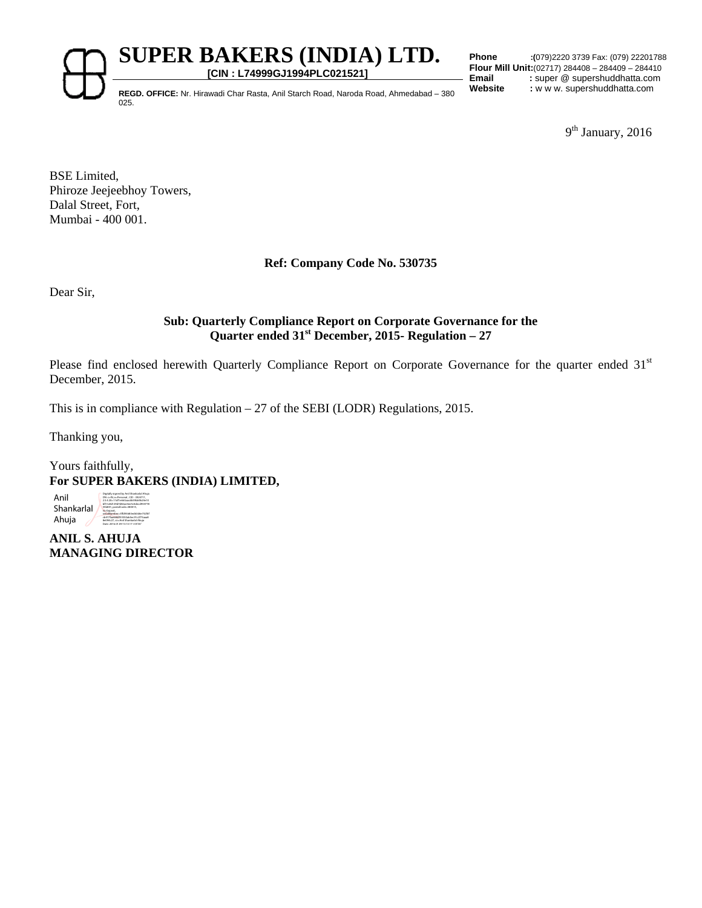**SUPER BAKERS (INDIA) LTD.** 

**[CIN : L74999GJ1994PLC021521]**

**Phone :(**079)2220 3739 Fax: (079) 22201788 **Flour Mill Unit:**(02717) 284408 – 284409 – 284410 Email : super @ supershuddhatta.com

REGD. OFFICE: Nr. Hirawadi Char Rasta, Anil Starch Road, Naroda Road, Ahmedabad – 380 Website : w w w. supershuddhatta.com 025.

9<sup>th</sup> January, 2016

BSE Limited, Phiroze Jeejeebhoy Towers, Dalal Street, Fort, Mumbai - 400 001.

# **Ref: Company Code No. 530735**

Dear Sir,

# **Sub: Quarterly Compliance Report on Corporate Governance for the Quarter ended 31st December, 2015- Regulation – 27**

Please find enclosed herewith Quarterly Compliance Report on Corporate Governance for the quarter ended 31<sup>st</sup> December, 2015.

This is in compliance with Regulation – 27 of the SEBI (LODR) Regulations, 2015.

Thanking you,

Yours faithfully, **For SUPER BAKERS (INDIA) LIMITED,** 

Anil Shankarlal Ahuja Digitally signed by Anil Shankarlal Ahuja DN: c=IN, o=Personal , CID - 3924711, 2.5.4.20=11df1e663aacdb59bb9b24e10 bf51a9d129d7d82ae3ee5c0decd954778 55b841, postalCode=380015, st=Gujarat, serialNumber=3ffd93683ed63d6e732f6f cb417faa6684f55550ab5ec91c2f73aaa8 8e094c27, cn=Anil Shankarlal Ahuja Date: 2016.01.09 13:13:17 +05'30'

**ANIL S. AHUJA MANAGING DIRECTOR**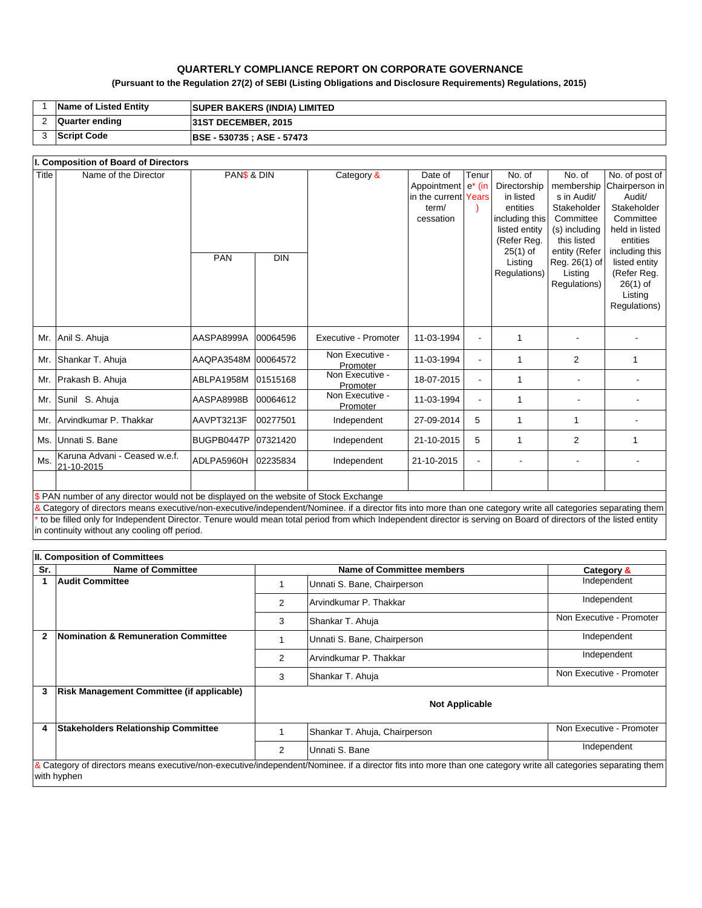## **QUARTERLY COMPLIANCE REPORT ON CORPORATE GOVERNANCE**

## **(Pursuant to the Regulation 27(2) of SEBI (Listing Obligations and Disclosure Requirements) Regulations, 2015)**

| <b>Name of Listed Entity</b> | <b>SUPER BAKERS (INDIA) LIMITED</b> |
|------------------------------|-------------------------------------|
| Quarter ending               | <b>31ST DECEMBER, 2015</b>          |
| <b>Script Code</b>           | <b>BSE - 530735 : ASE - 57473</b>   |

#### PAN DIN Mr. Anil S. Ahuja AASPA8999A 00064596 Executive - Promoter 11-03-1994 - 1 - - Mr. Shankar T. Ahuja AAQPA3548M 00064572 Non Executive -Promoter 11-03-1994 - 1 2 1 Mr. Prakash B. Ahuja ABLPA1958M 01515168 Non Executive -Promoter 18-07-2015 - 1 - - Mr. Sunil S. Ahuja **AASPA8998B** 00064612 Non Executive -Promoter 11-03-1994 - 1 - - Mr. Arvindkumar P. Thakkar (AAVPT3213F 00277501 | Independent | 27-09-2014 | 5 | 1 | 1 | -Ms. Unnati S. Bane |BUGPB0447P |07321420 Independent | 21-10-2015 | 1 | 2 | 1 Ms. Karuna Advani - Ceased w.e.f.<br>21-10-2015 21-10-2015 ADLPA5960H 02235834 Independent 21-10-2015 - - - - PAN\$ & DIN **\$ PAN number of any director would not be displayed on the website of Stock Exchange** & Category of directors means executive/non-executive/independent/Nominee. if a director fits into more than one category write all categories separating them \* to be filled only for Independent Director. Tenure would mean total period from which Independent director is serving on Board of directors of the listed entity Title Name of the Director **PAN\$ & DIN** Category & Date of Appointment e\* (in in the current term/ cessation **I. Composition of Board of Directors**  Tenur Years ) No. of Directorship in listed entities including this listed entity (Refer Reg. 25(1) of Listing Regulations) No. of membership s in Audit/ Stakeholder Committee (s) including this listed entity (Refer Reg. 26(1) of Listing Regulations) No. of post of Chairperson in Audit/ Stakeholder **Committee** held in listed entities including this listed entity (Refer Reg. 26(1) of Listing Regulations)

|              | II. Composition of Committees                  |                                  |                               |                          |
|--------------|------------------------------------------------|----------------------------------|-------------------------------|--------------------------|
| Sr.          | <b>Name of Committee</b>                       | <b>Name of Committee members</b> |                               | Category &               |
|              | <b>Audit Committee</b>                         |                                  | Unnati S. Bane, Chairperson   | Independent              |
|              |                                                | $\overline{2}$                   | Arvindkumar P. Thakkar        | Independent              |
|              |                                                | 3                                | Shankar T. Ahuja              | Non Executive - Promoter |
| $\mathbf{2}$ | <b>Nomination &amp; Remuneration Committee</b> |                                  | Unnati S. Bane, Chairperson   | Independent              |
|              |                                                | 2                                | Arvindkumar P. Thakkar        | Independent              |
|              |                                                | 3                                | Shankar T. Ahuja              | Non Executive - Promoter |
| 3            | Risk Management Committee (if applicable)      | <b>Not Applicable</b>            |                               |                          |
| 4            | <b>Stakeholders Relationship Committee</b>     |                                  | Shankar T. Ahuja, Chairperson | Non Executive - Promoter |
|              |                                                | 2                                | Unnati S. Bane                | Independent              |